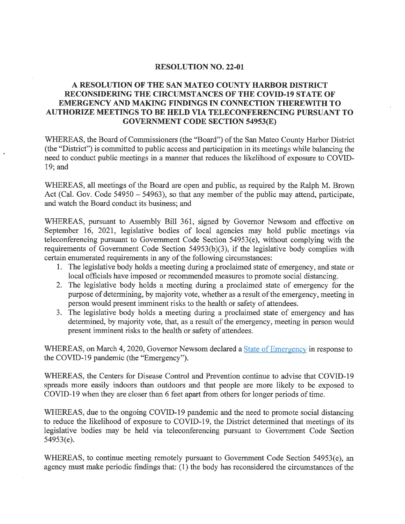## RESOLUTION NO. 22-01

## A RESOLUTION OF THE SAN MATEO COUNTY HARBOR DISTMCT RECONSIDERING THE CIRCUMSTANCES OF THE COVID-19 STATE OF EMERGENCY AND MAKING FINDINGS IN CONNECTION THEREWITH TO AUTHORIZE MEETINGS TO BE HELD VIA TELECONFERENCING PURSUANT TO GOVERNMENT CODE SECTION 54953(E)

WHEREAS, the Board of Commissioners (the "Board") of the San Mateo County Harbor District (the "District") is committed to public access and participation in its meetings while balancing the need to conduct public meetings in a manner that reduces the likelihood of exposure to COVID-19; and

WHEREAS, all meetings of the Board are open and public, as required by the Ralph M. Brown Act (Cal. Gov. Code 54950 – 54963), so that any member of the public may attend, participate, and watch the Board conduct its business; and

WHEREAS, pursuant to Assembly Bill 361, signed by Governor Newsom and effective on September 16, 2021, legislative bodies of local agencies may hold public meetings via teleconferencing pursuant to Government Code Section 54953(e), without complying with the requirements of Government Code Section 54953(b)(3), if the legislative body complies with certain enumerated requirements in any of the following circumstances:

- 1. The legislative body holds a meeting during a proclaimed state of emergency, and state or local officials have imposed or recommended measures to promote social distancing.
- 2. The legislative body holds a meeting during a proclaimed state of emergency for the purpose of determining, by majority vote, whether as a result of the emergency, meeting in person would present imminent risks to the health or safety of attendees.
- 3. The legislative body holds a meeting during a proclaimed state of emergency and has determined, by majority vote, that, as a result of the emergency, meeting in person would present imminent risks to the health or safety of attendees.

WHEREAS, on March 4, 2020, Governor Newsom declared a **State of Emergency** in response to the COVID-19 pandemic (the "Emergency").

WHEREAS, the Centers for Disease Control and Prevention continue to advise that COVID-19 spreads more easily indoors than outdoors and that people are more likely to be exposed to COVID-19 when they are closer than 6 feet apart from others for longer periods of time.

WHEREAS, due to the ongoing COVID-19 pandemic and the need to promote social distancing to reduce the likelihood of exposure to COVID-19, the District determined that meetings of its legislative bodies may be held via teleconferencing pursuant to Government Code Section 54953(e).

WHEREAS, to continue meeting remotely pursuant to Government Code Section 54953(e), an agency must make periodic findings that: (1) the body has reconsidered the circumstances of the